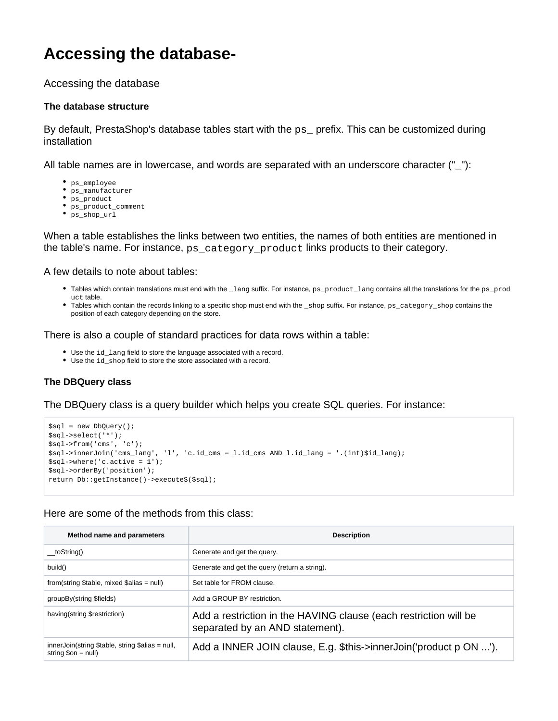# **Accessing the database-**

Accessing the database

## **The database structure**

By default, PrestaShop's database tables start with the ps\_ prefix. This can be customized during installation

All table names are in lowercase, and words are separated with an underscore character ("\_"):

- ps\_employee
- ps\_manufacturer
- $\bullet$  ps\_product
- ps\_product\_comment ps\_shop\_url
- 

When a table establishes the links between two entities, the names of both entities are mentioned in the table's name. For instance, ps\_category\_product links products to their category.

#### A few details to note about tables:

- Tables which contain translations must end with the \_lang suffix. For instance, ps\_product\_lang contains all the translations for the ps\_prod uct table.
- Tables which contain the records linking to a specific shop must end with the \_shop suffix. For instance, ps\_category\_shop contains the position of each category depending on the store.

There is also a couple of standard practices for data rows within a table:

- Use the id\_lang field to store the language associated with a record.
- Use the id\_shop field to store the store associated with a record.

# **The DBQuery class**

## The DBQuery class is a query builder which helps you create SQL queries. For instance:

```
$sql = new DbQuery();
$sql->select('*');
$sql->from('cms', 'c');
$sql->innerJoin('cms_lang', 'l', 'c.id_cms = l.id_cms AND l.id_lang = '.(int)$id_lang);
$sql->where('c.active = 1');
$sql->orderBy('position');
return Db::getInstance()->executeS($sql);
```
# Here are some of the methods from this class:

| Method name and parameters                                                              | <b>Description</b>                                                                                  |  |
|-----------------------------------------------------------------------------------------|-----------------------------------------------------------------------------------------------------|--|
| toString()                                                                              | Generate and get the query.                                                                         |  |
| build()                                                                                 | Generate and get the query (return a string).                                                       |  |
| from(string \$table, mixed \$alias = null)                                              | Set table for FROM clause.                                                                          |  |
| groupBy(string \$fields)                                                                | Add a GROUP BY restriction.                                                                         |  |
| having(string \$restriction)                                                            | Add a restriction in the HAVING clause (each restriction will be<br>separated by an AND statement). |  |
| $innerJoin(String$ \$table, string \$alias = null,<br>string $\text{Son} = \text{null}$ | Add a INNER JOIN clause, E.g. \$this->innerJoin('product p ON ').                                   |  |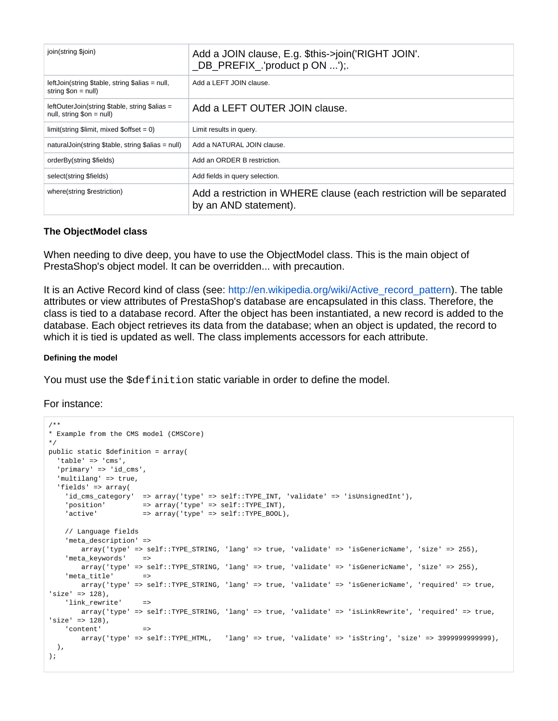| join(string \$join)                                                                   | Add a JOIN clause, E.g. \$this->join('RIGHT JOIN'.<br>_DB_PREFIX_.'product p ON ');.           |
|---------------------------------------------------------------------------------------|------------------------------------------------------------------------------------------------|
| leftJoin(string \$table, string \$alias = null,<br>string $\text{Son} = \text{null}$  | Add a LEFT JOIN clause.                                                                        |
| leftOuterJoin(string \$table, string \$alias =<br>$null,$ string $\text{\$on} = null$ | Add a LEFT OUTER JOIN clause.                                                                  |
| $limit(\text{string } $limit, mixed $offset = 0)$                                     | Limit results in query.                                                                        |
| naturalJoin(string \$table, string \$alias = null)                                    | Add a NATURAL JOIN clause.                                                                     |
| orderBy(string \$fields)                                                              | Add an ORDER B restriction.                                                                    |
| select(string \$fields)                                                               | Add fields in query selection.                                                                 |
| where(string \$restriction)                                                           | Add a restriction in WHERE clause (each restriction will be separated<br>by an AND statement). |

#### **The ObjectModel class**

When needing to dive deep, you have to use the ObjectModel class. This is the main object of PrestaShop's object model. It can be overridden... with precaution.

It is an Active Record kind of class (see: [http://en.wikipedia.org/wiki/Active\\_record\\_pattern](http://en.wikipedia.org/wiki/Active_record_pattern)). The table attributes or view attributes of PrestaShop's database are encapsulated in this class. Therefore, the class is tied to a database record. After the object has been instantiated, a new record is added to the database. Each object retrieves its data from the database; when an object is updated, the record to which it is tied is updated as well. The class implements accessors for each attribute.

#### **Defining the model**

You must use the  $$definition$  static variable in order to define the model.

## For instance:

```
/**
* Example from the CMS model (CMSCore) 
*/
public static $definition = array(
  'table' => 'cms',
   'primary' => 'id_cms',
  'multilang' => true,
  'fields' => array(
    'id_cms_category' => array('type' => self::TYPE_INT, 'validate' => 'isUnsignedInt'),
'position' => array('type' => self::TYPE_INT),
'active' \Rightarrow array('type' => self::TYPE_BOOL),
    // Language fields
    'meta_description' => 
        array('type' => self::TYPE_STRING, 'lang' => true, 'validate' => 'isGenericName', 'size' => 255),
    'meta_keywords' =>
        array('type' => self::TYPE_STRING, 'lang' => true, 'validate' => 'isGenericName', 'size' => 255),
   'meta_title' =>
        array('type' => self::TYPE_STRING, 'lang' => true, 'validate' => 'isGenericName', 'required' => true, 
'size' => 128),
    'link_rewrite' =>
        array('type' => self::TYPE_STRING, 'lang' => true, 'validate' => 'isLinkRewrite', 'required' => true, 
'size' => 128),
    'content' =>
        array('type' => self::TYPE_HTML, 'lang' => true, 'validate' => 'isString', 'size' => 3999999999999),
  ),
);
```